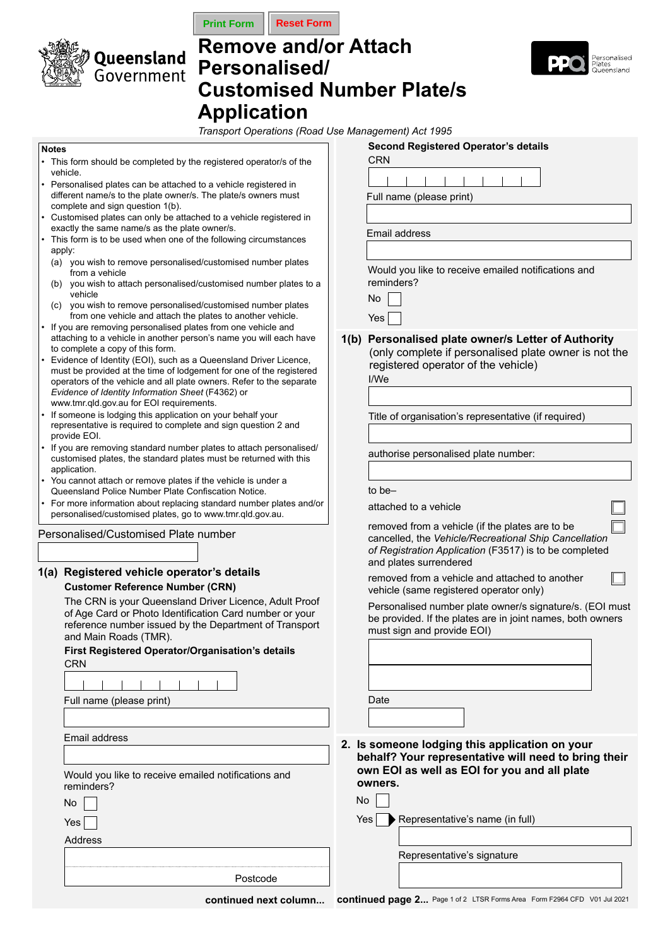



# **Remove and/or Attach Personalised/ Customised Number Plate/s Application**



*Transport Operations (Road Use Management) Act 1995*

#### **Notes**

- This form should be completed by the registered operator/s of the vehicle.
- Personalised plates can be attached to a vehicle registered in different name/s to the plate owner/s. The plate/s owners must complete and sign question 1(b).
- Customised plates can only be attached to a vehicle registered in exactly the same name/s as the plate owner/s.
- This form is to be used when one of the following circumstances apply:
- (a) you wish to remove personalised/customised number plates from a vehicle
- (b) you wish to attach personalised/customised number plates to a vehicle
- (c) you wish to remove personalised/customised number plates from one vehicle and attach the plates to another vehicle.
- If you are removing personalised plates from one vehicle and attaching to a vehicle in another person's name you will each have to complete a copy of this form.
- Evidence of Identity (EOI), such as a Queensland Driver Licence, must be provided at the time of lodgement for one of the registered operators of the vehicle and all plate owners. Refer to the separate *Evidence of Identity Information Sheet* (F4362) or www.tmr.qld.gov.au for EOI requirements.
- If someone is lodging this application on your behalf your representative is required to complete and sign question 2 and provide EOI.
- If you are removing standard number plates to attach personalised/ customised plates, the standard plates must be returned with this application.
- You cannot attach or remove plates if the vehicle is under a Queensland Police Number Plate Confiscation Notice.
- For more information about replacing standard number plates and/or personalised/customised plates, go to www.tmr.qld.gov.au.

Personalised/Customised Plate number

| 1(a) Registered vehicle operator's details |
|--------------------------------------------|
| <b>Customer Reference Number (CRN)</b>     |

The CRN is your Queensland Driver Licence, Adult Proof of Age Card or Photo Identification Card number or your reference number issued by the Department of Transport and Main Roads (TMR).

|            | First Registered Operator/Organisation's details |  |
|------------|--------------------------------------------------|--|
| <b>CRN</b> |                                                  |  |
|            |                                                  |  |

Full name (please print)

Email address

Would you like to receive emailed notifications and reminders?

Address Yes

Postcode

|      | CRN                                                                                                                                                                                          |
|------|----------------------------------------------------------------------------------------------------------------------------------------------------------------------------------------------|
|      |                                                                                                                                                                                              |
|      | Full name (please print)                                                                                                                                                                     |
|      |                                                                                                                                                                                              |
|      | Email address                                                                                                                                                                                |
|      |                                                                                                                                                                                              |
|      | Would you like to receive emailed notifications and<br>reminders?                                                                                                                            |
|      | No                                                                                                                                                                                           |
|      | Yes                                                                                                                                                                                          |
| 1(b) | Personalised plate owner/s Letter of Authority<br>(only complete if personalised plate owner is not the<br>registered operator of the vehicle)<br>I/We                                       |
|      | Title of organisation's representative (if required)                                                                                                                                         |
|      | authorise personalised plate number:                                                                                                                                                         |
|      | to be–                                                                                                                                                                                       |
|      | attached to a vehicle                                                                                                                                                                        |
|      | removed from a vehicle (if the plates are to be<br>cancelled, the Vehicle/Recreational Ship Cancellation<br>of Registration Application (F3517) is to be completed<br>and plates surrendered |
|      | removed from a vehicle and attached to another<br>vehicle (same registered operator only)                                                                                                    |
|      | Personalised number plate owner/s signature/s. (EOI must<br>be provided. If the plates are in joint names, both owners<br>must sign and provide EOI)                                         |
|      |                                                                                                                                                                                              |
|      |                                                                                                                                                                                              |
|      | Date                                                                                                                                                                                         |
|      |                                                                                                                                                                                              |
| 2.   | Is someone lodging this application on your<br>behalf? Your representative will need to bring their<br>own EOI as well as EOI for you and all plate<br>owners.                               |

**Second Registered Operator's details**

 $Yes \rightarrow Representative's name (in full)$ Representative's signature No

Continued next column... Continued page 2... Page 1 of 2 LTSR Forms Area Form F2964 CFD V01 Jul 2021